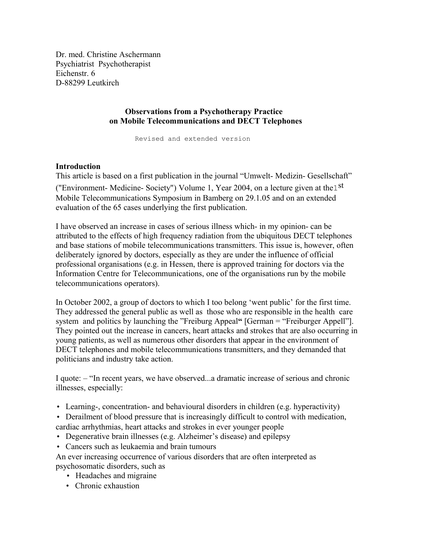Dr. med. Christine Aschermann Psychiatrist Psychotherapist Eichenstr. 6 D-88299 Leutkirch

# **Observations from a Psychotherapy Practice on Mobile Telecommunications and DECT Telephones**

Revised and extended version

# **Introduction**

This article is based on a first publication in the journal "Umwelt- Medizin- Gesellschaft" ("Environment- Medicine- Society") Volume 1, Year 2004, on a lecture given at the1st Mobile Telecommunications Symposium in Bamberg on 29.1.05 and on an extended evaluation of the 65 cases underlying the first publication.

I have observed an increase in cases of serious illness which- in my opinion- can be attributed to the effects of high frequency radiation from the ubiquitous DECT telephones and base stations of mobile telecommunications transmitters. This issue is, however, often deliberately ignored by doctors, especially as they are under the influence of official professional organisations (e.g. in Hessen, there is approved training for doctors via the Information Centre for Telecommunications, one of the organisations run by the mobile telecommunications operators).

In October 2002, a group of doctors to which I too belong 'went public' for the first time. They addressed the general public as well as those who are responsible in the health care system and politics by launching the "Freiburg Appeal**"** [German = "Freiburger Appell"]. They pointed out the increase in cancers, heart attacks and strokes that are also occurring in young patients, as well as numerous other disorders that appear in the environment of DECT telephones and mobile telecommunications transmitters, and they demanded that politicians and industry take action.

I quote: – "In recent years, we have observed...a dramatic increase of serious and chronic illnesses, especially:

- Learning-, concentration- and behavioural disorders in children (e.g. hyperactivity)
- Derailment of blood pressure that is increasingly difficult to control with medication, cardiac arrhythmias, heart attacks and strokes in ever younger people
- Degenerative brain illnesses (e.g. Alzheimer's disease) and epilepsy
- Cancers such as leukaemia and brain tumours

An ever increasing occurrence of various disorders that are often interpreted as psychosomatic disorders, such as

- Headaches and migraine
- Chronic exhaustion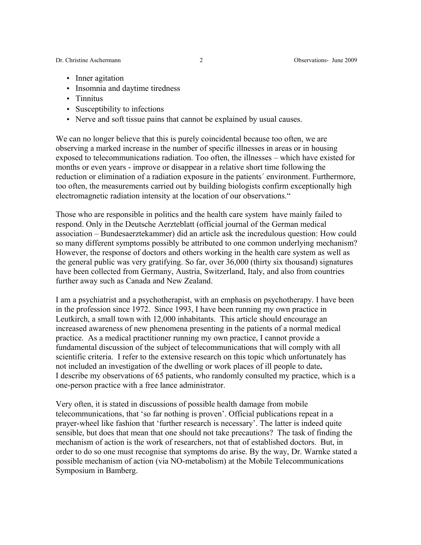Dr. Christine Aschermann 2 Observations- June 2009

- Inner agitation
- Insomnia and daytime tiredness
- Tinnitus
- Susceptibility to infections
- Nerve and soft tissue pains that cannot be explained by usual causes.

We can no longer believe that this is purely coincidental because too often, we are observing a marked increase in the number of specific illnesses in areas or in housing exposed to telecommunications radiation. Too often, the illnesses – which have existed for months or even years - improve or disappear in a relative short time following the reduction or elimination of a radiation exposure in the patients´ environment. Furthermore, too often, the measurements carried out by building biologists confirm exceptionally high electromagnetic radiation intensity at the location of our observations."

Those who are responsible in politics and the health care system have mainly failed to respond. Only in the Deutsche Aerzteblatt (official journal of the German medical association – Bundesaerztekammer) did an article ask the incredulous question: How could so many different symptoms possibly be attributed to one common underlying mechanism? However, the response of doctors and others working in the health care system as well as the general public was very gratifying. So far, over 36,000 (thirty six thousand) signatures have been collected from Germany, Austria, Switzerland, Italy, and also from countries further away such as Canada and New Zealand.

I am a psychiatrist and a psychotherapist, with an emphasis on psychotherapy. I have been in the profession since 1972. Since 1993, I have been running my own practice in Leutkirch, a small town with 12,000 inhabitants. This article should encourage an increased awareness of new phenomena presenting in the patients of a normal medical practice. As a medical practitioner running my own practice, I cannot provide a fundamental discussion of the subject of telecommunications that will comply with all scientific criteria. I refer to the extensive research on this topic which unfortunately has not included an investigation of the dwelling or work places of ill people to date**.**  I describe my observations of 65 patients, who randomly consulted my practice, which is a one-person practice with a free lance administrator.

Very often, it is stated in discussions of possible health damage from mobile telecommunications, that 'so far nothing is proven'. Official publications repeat in a prayer-wheel like fashion that 'further research is necessary'. The latter is indeed quite sensible, but does that mean that one should not take precautions? The task of finding the mechanism of action is the work of researchers, not that of established doctors. But, in order to do so one must recognise that symptoms do arise. By the way, Dr. Warnke stated a possible mechanism of action (via NO-metabolism) at the Mobile Telecommunications Symposium in Bamberg.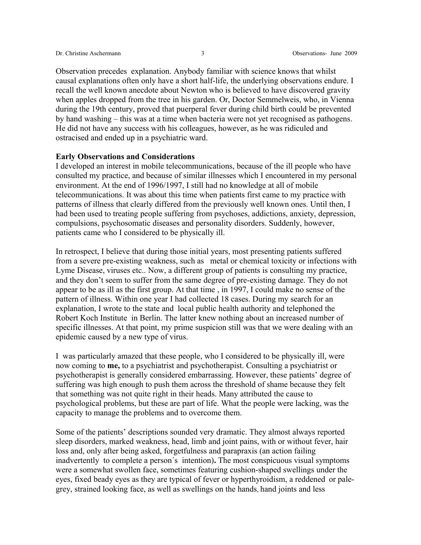Observation precedes explanation. Anybody familiar with science knows that whilst causal explanations often only have a short half-life, the underlying observations endure. I recall the well known anecdote about Newton who is believed to have discovered gravity when apples dropped from the tree in his garden. Or, Doctor Semmelweis, who, in Vienna during the 19th century, proved that puerperal fever during child birth could be prevented by hand washing – this was at a time when bacteria were not yet recognised as pathogens. He did not have any success with his colleagues, however, as he was ridiculed and ostracised and ended up in a psychiatric ward.

### **Early Observations and Considerations**

I developed an interest in mobile telecommunications, because of the ill people who have consulted my practice, and because of similar illnesses which I encountered in my personal environment. At the end of 1996/1997, I still had no knowledge at all of mobile telecommunications. It was about this time when patients first came to my practice with patterns of illness that clearly differed from the previously well known ones. Until then, I had been used to treating people suffering from psychoses, addictions, anxiety, depression, compulsions, psychosomatic diseases and personality disorders. Suddenly, however, patients came who I considered to be physically ill.

In retrospect, I believe that during those initial years, most presenting patients suffered from a severe pre-existing weakness, such as metal or chemical toxicity or infections with Lyme Disease, viruses etc.. Now, a different group of patients is consulting my practice, and they don't seem to suffer from the same degree of pre-existing damage. They do not appear to be as ill as the first group. At that time , in 1997, I could make no sense of the pattern of illness. Within one year I had collected 18 cases. During my search for an explanation, I wrote to the state and local public health authority and telephoned the Robert Koch Institute in Berlin. The latter knew nothing about an increased number of specific illnesses. At that point, my prime suspicion still was that we were dealing with an epidemic caused by a new type of virus.

I was particularly amazed that these people, who I considered to be physically ill, were now coming to **me,** to a psychiatrist and psychotherapist. Consulting a psychiatrist or psychotherapist is generally considered embarrassing. However, these patients' degree of suffering was high enough to push them across the threshold of shame because they felt that something was not quite right in their heads. Many attributed the cause to psychological problems, but these are part of life. What the people were lacking, was the capacity to manage the problems and to overcome them.

Some of the patients' descriptions sounded very dramatic. They almost always reported sleep disorders, marked weakness, head, limb and joint pains, with or without fever, hair loss and, only after being asked, forgetfulness and parapraxis (an action failing inadvertently to complete a person´s intention)**.** The most conspicuous visual symptoms were a somewhat swollen face, sometimes featuring cushion-shaped swellings under the eyes, fixed beady eyes as they are typical of fever or hyperthyroidism, a reddened or palegrey, strained looking face, as well as swellings on the hands, hand joints and less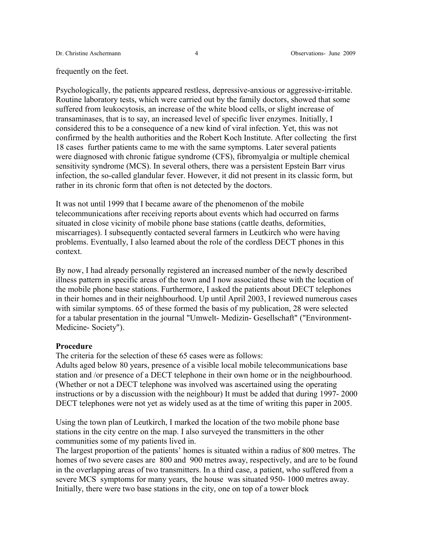#### frequently on the feet.

Psychologically, the patients appeared restless, depressive-anxious or aggressive-irritable. Routine laboratory tests, which were carried out by the family doctors, showed that some suffered from leukocytosis, an increase of the white blood cells, or slight increase of transaminases, that is to say, an increased level of specific liver enzymes. Initially, I considered this to be a consequence of a new kind of viral infection. Yet, this was not confirmed by the health authorities and the Robert Koch Institute. After collecting the first 18 cases further patients came to me with the same symptoms. Later several patients were diagnosed with chronic fatigue syndrome (CFS), fibromyalgia or multiple chemical sensitivity syndrome (MCS). In several others, there was a persistent Epstein Barr virus infection, the so-called glandular fever. However, it did not present in its classic form, but rather in its chronic form that often is not detected by the doctors.

It was not until 1999 that I became aware of the phenomenon of the mobile telecommunications after receiving reports about events which had occurred on farms situated in close vicinity of mobile phone base stations (cattle deaths, deformities, miscarriages). I subsequently contacted several farmers in Leutkirch who were having problems. Eventually, I also learned about the role of the cordless DECT phones in this context.

By now, I had already personally registered an increased number of the newly described illness pattern in specific areas of the town and I now associated these with the location of the mobile phone base stations. Furthermore, I asked the patients about DECT telephones in their homes and in their neighbourhood. Up until April 2003, I reviewed numerous cases with similar symptoms. 65 of these formed the basis of my publication, 28 were selected for a tabular presentation in the journal "Umwelt- Medizin- Gesellschaft" ("Environment-Medicine- Society").

### **Procedure**

The criteria for the selection of these 65 cases were as follows:

Adults aged below 80 years, presence of a visible local mobile telecommunications base station and /or presence of a DECT telephone in their own home or in the neighbourhood. (Whether or not a DECT telephone was involved was ascertained using the operating instructions or by a discussion with the neighbour) It must be added that during 1997- 2000 DECT telephones were not yet as widely used as at the time of writing this paper in 2005.

Using the town plan of Leutkirch, I marked the location of the two mobile phone base stations in the city centre on the map. I also surveyed the transmitters in the other communities some of my patients lived in.

The largest proportion of the patients' homes is situated within a radius of 800 metres. The homes of two severe cases are 800 and 900 metres away, respectively, and are to be found in the overlapping areas of two transmitters. In a third case, a patient, who suffered from a severe MCS symptoms for many years, the house was situated 950- 1000 metres away. Initially, there were two base stations in the city, one on top of a tower block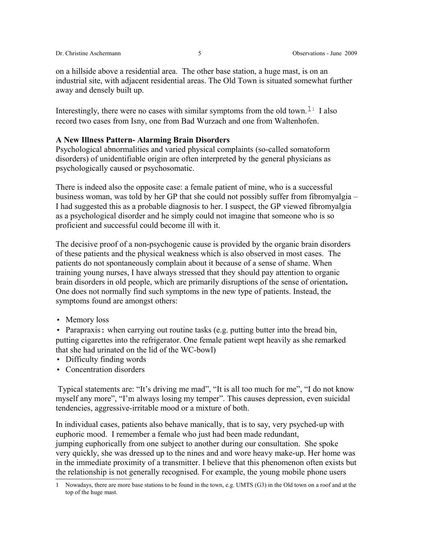on a hillside above a residential area. The other base station, a huge mast, is on an industrial site, with adjacent residential areas. The Old Town is situated somewhat further away and densely built up.

Interestingly, there were no cases with similar symptoms from the old town.<sup>[1](#page-4-0)1</sup> I also record two cases from Isny, one from Bad Wurzach and one from Waltenhofen.

## **A New Illness Pattern- Alarming Brain Disorders**

Psychological abnormalities and varied physical complaints (so-called somatoform disorders) of unidentifiable origin are often interpreted by the general physicians as psychologically caused or psychosomatic.

There is indeed also the opposite case: a female patient of mine, who is a successful business woman, was told by her GP that she could not possibly suffer from fibromyalgia – I had suggested this as a probable diagnosis to her. I suspect, the GP viewed fibromyalgia as a psychological disorder and he simply could not imagine that someone who is so proficient and successful could become ill with it.

The decisive proof of a non-psychogenic cause is provided by the organic brain disorders of these patients and the physical weakness which is also observed in most cases. The patients do not spontaneously complain about it because of a sense of shame. When training young nurses, I have always stressed that they should pay attention to organic brain disorders in old people, which are primarily disruptions of the sense of orientation**.** One does not normally find such symptoms in the new type of patients. Instead, the symptoms found are amongst others:

• Memory loss

• Parapraxis: when carrying out routine tasks (e.g. putting butter into the bread bin, putting cigarettes into the refrigerator. One female patient wept heavily as she remarked that she had urinated on the lid of the WC-bowl)

- Difficulty finding words
- Concentration disorders

 Typical statements are: "It's driving me mad", "It is all too much for me", "I do not know myself any more", "I'm always losing my temper". This causes depression, even suicidal tendencies, aggressive-irritable mood or a mixture of both.

In individual cases, patients also behave manically, that is to say, very psyched-up with euphoric mood. I remember a female who just had been made redundant, jumping euphorically from one subject to another during our consultation. She spoke very quickly, she was dressed up to the nines and and wore heavy make-up. Her home was in the immediate proximity of a transmitter. I believe that this phenomenon often exists but the relationship is not generally recognised. For example, the young mobile phone users

<span id="page-4-0"></span><sup>1</sup> Nowadays, there are more base stations to be found in the town, e.g. UMTS (G3) in the Old town on a roof and at the top of the huge mast.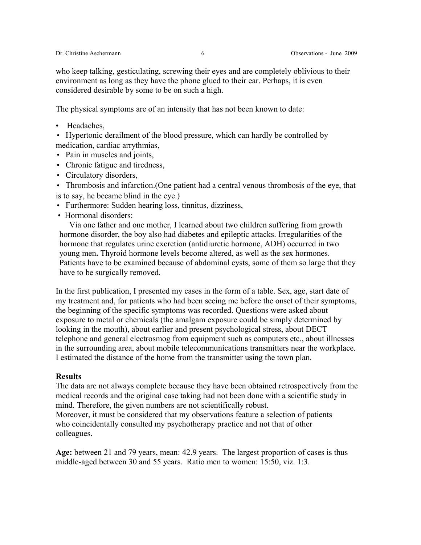who keep talking, gesticulating, screwing their eyes and are completely oblivious to their environment as long as they have the phone glued to their ear. Perhaps, it is even considered desirable by some to be on such a high.

The physical symptoms are of an intensity that has not been known to date:

- Headaches,
- Hypertonic derailment of the blood pressure, which can hardly be controlled by medication, cardiac arrythmias,
- Pain in muscles and joints,
- Chronic fatigue and tiredness,
- Circulatory disorders,
- Thrombosis and infarction.(One patient had a central venous thrombosis of the eye, that is to say, he became blind in the eye.)
- Furthermore: Sudden hearing loss, tinnitus, dizziness,
- Hormonal disorders:

 Via one father and one mother, I learned about two children suffering from growth hormone disorder, the boy also had diabetes and epileptic attacks. Irregularities of the hormone that regulates urine excretion (antidiuretic hormone, ADH) occurred in two young men**.** Thyroid hormone levels become altered, as well as the sex hormones. Patients have to be examined because of abdominal cysts, some of them so large that they have to be surgically removed.

In the first publication, I presented my cases in the form of a table. Sex, age, start date of my treatment and, for patients who had been seeing me before the onset of their symptoms, the beginning of the specific symptoms was recorded. Questions were asked about exposure to metal or chemicals (the amalgam exposure could be simply determined by looking in the mouth), about earlier and present psychological stress, about DECT telephone and general electrosmog from equipment such as computers etc., about illnesses in the surrounding area, about mobile telecommunications transmitters near the workplace. I estimated the distance of the home from the transmitter using the town plan.

# **Results**

The data are not always complete because they have been obtained retrospectively from the medical records and the original case taking had not been done with a scientific study in mind. Therefore, the given numbers are not scientifically robust. Moreover, it must be considered that my observations feature a selection of patients who coincidentally consulted my psychotherapy practice and not that of other colleagues.

**Age:** between 21 and 79 years, mean: 42.9 years. The largest proportion of cases is thus middle-aged between 30 and 55 years. Ratio men to women: 15:50, viz. 1:3.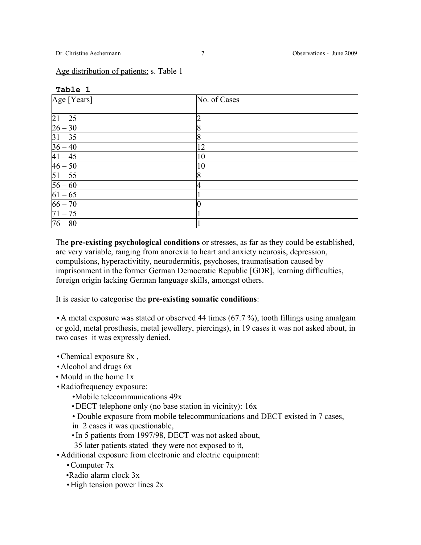**Table 1** 

| $ Age$ [Years]       | No. of Cases |
|----------------------|--------------|
|                      |              |
| $ 21 - 25 $          |              |
| $\overline{26 - 30}$ |              |
| $31 - 35$            | 8            |
| $36 - 40$            | 12           |
| $41 - 45$            | 10           |
| $46 - 50$            | 10           |
| $\sqrt{51 - 55}$     |              |
| $\sqrt{56 - 60}$     | 4            |
| $61 - 65$            |              |
| $66 - 70$            |              |
| $\sqrt{71-75}$       |              |
| $76 - 80$            |              |

The **pre-existing psychological conditions** or stresses, as far as they could be established, are very variable, ranging from anorexia to heart and anxiety neurosis, depression, compulsions, hyperactivitity, neurodermitis, psychoses, traumatisation caused by imprisonment in the former German Democratic Republic [GDR], learning difficulties, foreign origin lacking German language skills, amongst others.

It is easier to categorise the **pre-existing somatic conditions**:

•A metal exposure was stated or observed 44 times (67.7 %), tooth fillings using amalgam or gold, metal prosthesis, metal jewellery, piercings), in 19 cases it was not asked about, in two cases it was expressly denied.

- •Chemical exposure 8x ,
- •Alcohol and drugs 6x
- Mould in the home 1x
- •Radiofrequency exposure:
	- •Mobile telecommunications 49x
	- •DECT telephone only (no base station in vicinity): 16x
	- Double exposure from mobile telecommunications and DECT existed in 7 cases,
	- in 2 cases it was questionable,
	- •In 5 patients from 1997/98, DECT was not asked about,
	- 35 later patients stated they were not exposed to it,
- •Additional exposure from electronic and electric equipment:
	- •Computer 7x
	- •Radio alarm clock 3x
	- •High tension power lines 2x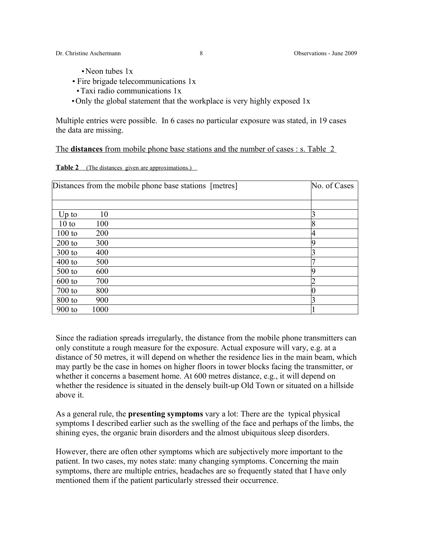- Neon tubes 1x
- Fire brigade telecommunications 1x
- •Taxi radio communications 1x
- •Only the global statement that the workplace is very highly exposed 1x

Multiple entries were possible. In 6 cases no particular exposure was stated, in 19 cases the data are missing.

The **distances** from mobile phone base stations and the number of cases : s. Table 2

|  | <b>Table 2</b> (The distances given are approximations.) |  |
|--|----------------------------------------------------------|--|
|  |                                                          |  |

| Distances from the mobile phone base stations [metres] |      |  | No. of Cases |
|--------------------------------------------------------|------|--|--------------|
|                                                        |      |  |              |
| $Up$ to                                                | 10   |  |              |
| 10 to                                                  | 100  |  | 8            |
| $100$ to                                               | 200  |  |              |
| $200$ to                                               | 300  |  | a            |
| $300$ to                                               | 400  |  |              |
| $400$ to                                               | 500  |  |              |
| $500$ to                                               | 600  |  | q            |
| $600$ to                                               | 700  |  |              |
| $700$ to                                               | 800  |  |              |
| 800 to                                                 | 900  |  |              |
| $900$ to                                               | 1000 |  |              |

Since the radiation spreads irregularly, the distance from the mobile phone transmitters can only constitute a rough measure for the exposure. Actual exposure will vary, e.g. at a distance of 50 metres, it will depend on whether the residence lies in the main beam, which may partly be the case in homes on higher floors in tower blocks facing the transmitter, or whether it concerns a basement home. At 600 metres distance, e.g., it will depend on whether the residence is situated in the densely built-up Old Town or situated on a hillside above it.

As a general rule, the **presenting symptoms** vary a lot: There are the typical physical symptoms I described earlier such as the swelling of the face and perhaps of the limbs, the shining eyes, the organic brain disorders and the almost ubiquitous sleep disorders.

However, there are often other symptoms which are subjectively more important to the patient. In two cases, my notes state: many changing symptoms. Concerning the main symptoms, there are multiple entries, headaches are so frequently stated that I have only mentioned them if the patient particularly stressed their occurrence.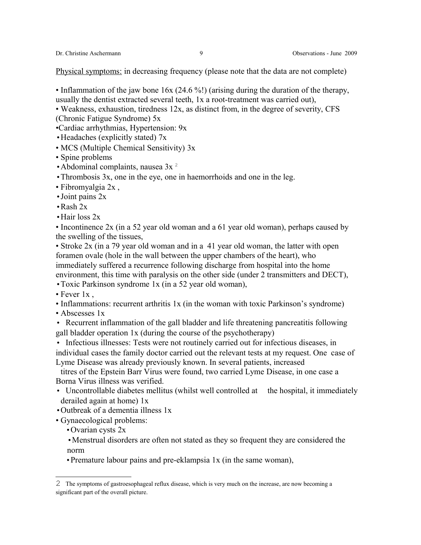Physical symptoms: in decreasing frequency (please note that the data are not complete)

- Inflammation of the jaw bone 16x (24.6 %!) (arising during the duration of the therapy, usually the dentist extracted several teeth, 1x a root-treatment was carried out),
- Weakness, exhaustion, tiredness 12x, as distinct from, in the degree of severity, CFS (Chronic Fatigue Syndrome) 5x

•Cardiac arrhythmias, Hypertension: 9x

- •Headaches (explicitly stated) 7x
- MCS (Multiple Chemical Sensitivity) 3x
- Spine problems
- Abdominal complaints, nausea  $3x^2$  $3x^2$
- •Thrombosis 3x, one in the eye, one in haemorrhoids and one in the leg.
- Fibromyalgia 2x ,
- •Joint pains 2x
- •Rash 2x
- Hair loss 2x

• Incontinence 2x (in a 52 year old woman and a 61 year old woman), perhaps caused by the swelling of the tissues,

• Stroke 2x (in a 79 year old woman and in a 41 year old woman, the latter with open foramen ovale (hole in the wall between the upper chambers of the heart), who immediately suffered a recurrence following discharge from hospital into the home environment, this time with paralysis on the other side (under 2 transmitters and DECT),

- •Toxic Parkinson syndrome 1x (in a 52 year old woman),
- Fever 1x.
- Inflammations: recurrent arthritis 1x (in the woman with toxic Parkinson's syndrome)
- Abscesses 1x
- Recurrent inflammation of the gall bladder and life threatening pancreatitis following gall bladder operation 1x (during the course of the psychotherapy)
- Infectious illnesses: Tests were not routinely carried out for infectious diseases, in individual cases the family doctor carried out the relevant tests at my request. One case of Lyme Disease was already previously known. In several patients, increased

titres of the Epstein Barr Virus were found, two carried Lyme Disease, in one case a Borna Virus illness was verified.

- Uncontrollable diabetes mellitus (whilst well controlled at the hospital, it immediately derailed again at home) 1x
- •Outbreak of a dementia illness 1x
- Gynaecological problems:
	- •Ovarian cysts 2x
	- •Menstrual disorders are often not stated as they so frequent they are considered the norm
	- •Premature labour pains and pre-eklampsia 1x (in the same woman),

<span id="page-8-0"></span><sup>2</sup> The symptoms of gastroesophageal reflux disease, which is very much on the increase, are now becoming a significant part of the overall picture.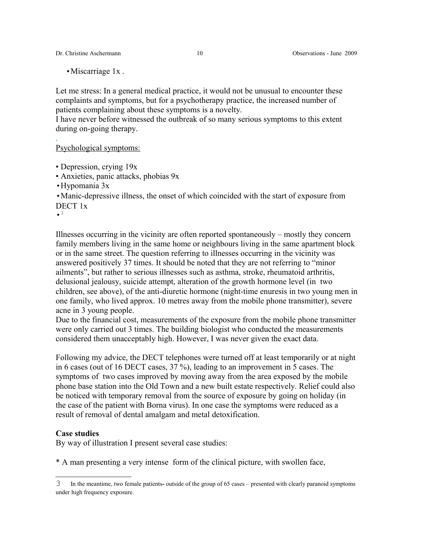Dr. Christine Aschermann 10 Observations - June 2009

• Miscarriage 1x.

Let me stress: In a general medical practice, it would not be unusual to encounter these complaints and symptoms, but for a psychotherapy practice, the increased number of patients complaining about these symptoms is a novelty.

I have never before witnessed the outbreak of so many serious symptoms to this extent during on-going therapy.

## Psychological symptoms:

- Depression, crying 19x
- Anxieties, panic attacks, phobias 9x
- •Hypomania 3x
- •Manic-depressive illness, the onset of which coincided with the start of exposure from DECT 1x

 $\bullet$ <sup>[3](#page-9-0)</sup>

.

Illnesses occurring in the vicinity are often reported spontaneously – mostly they concern family members living in the same home or neighbours living in the same apartment block or in the same street. The question referring to illnesses occurring in the vicinity was answered positively 37 times. It should be noted that they are not referring to "minor ailments", but rather to serious illnesses such as asthma, stroke, rheumatoid arthritis, delusional jealousy, suicide attempt, alteration of the growth hormone level (in two children, see above), of the anti-diuretic hormone (night-time enuresis in two young men in one family, who lived approx. 10 metres away from the mobile phone transmitter), severe acne in 3 young people.

Due to the financial cost, measurements of the exposure from the mobile phone transmitter were only carried out 3 times. The building biologist who conducted the measurements considered them unacceptably high. However, I was never given the exact data.

Following my advice, the DECT telephones were turned off at least temporarily or at night in 6 cases (out of 16 DECT cases, 37 %), leading to an improvement in 5 cases. The symptoms of two cases improved by moving away from the area exposed by the mobile phone base station into the Old Town and a new built estate respectively. Relief could also be noticed with temporary removal from the source of exposure by going on holiday (in the case of the patient with Borna virus). In one case the symptoms were reduced as a result of removal of dental amalgam and metal detoxification.

### **Case studies**

By way of illustration I present several case studies:

\* A man presenting a very intense form of the clinical picture, with swollen face,

<span id="page-9-0"></span><sup>3</sup> In the meantime, two female patients**-** outside of the group of 65 cases – presented with clearly paranoid symptoms under high frequency exposure.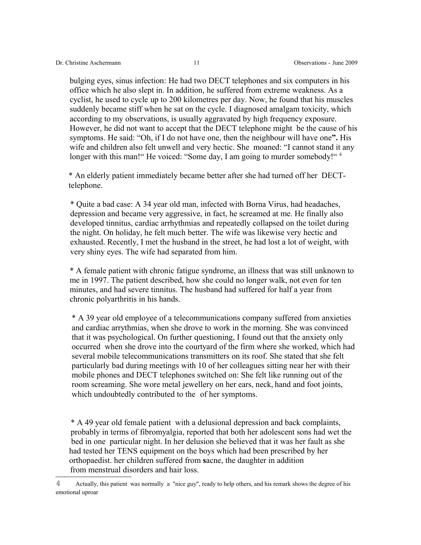bulging eyes, sinus infection: He had two DECT telephones and six computers in his office which he also slept in. In addition, he suffered from extreme weakness. As a cyclist, he used to cycle up to 200 kilometres per day. Now, he found that his muscles suddenly became stiff when he sat on the cycle. I diagnosed amalgam toxicity, which according to my observations, is usually aggravated by high frequency exposure. However, he did not want to accept that the DECT telephone might be the cause of his symptoms. He said: "Oh, if I do not have one, then the neighbour will have one**".** His wife and children also felt unwell and very hectic. She moaned: "I cannot stand it any longer with this man!" He voiced: "Some day, I am going to murder somebody!"<sup>[4](#page-10-0)</sup>

\* An elderly patient immediately became better after she had turned off her DECTtelephone.

\* Quite a bad case: A 34 year old man, infected with Borna Virus, had headaches, depression and became very aggressive, in fact, he screamed at me. He finally also developed tinnitus, cardiac arrhythmias and repeatedly collapsed on the toilet during the night. On holiday, he felt much better. The wife was likewise very hectic and exhausted. Recently, I met the husband in the street, he had lost a lot of weight, with very shiny eyes. The wife had separated from him.

\* A female patient with chronic fatigue syndrome, an illness that was still unknown to me in 1997. The patient described, how she could no longer walk, not even for ten minutes, and had severe tinnitus. The husband had suffered for half a year from chronic polyarthritis in his hands.

\* A 39 year old employee of a telecommunications company suffered from anxieties and cardiac arrythmias, when she drove to work in the morning. She was convinced that it was psychological. On further questioning, I found out that the anxiety only occurred when she drove into the courtyard of the firm where she worked, which had several mobile telecommunications transmitters on its roof. She stated that she felt particularly bad during meetings with 10 of her colleagues sitting near her with their mobile phones and DECT telephones switched on: She felt like running out of the room screaming. She wore metal jewellery on her ears, neck, hand and foot joints, which undoubtedly contributed to the of her symptoms.

\* A 49 year old female patient with a delusional depression and back complaints, probably in terms of fibromyalgia, reported that both her adolescent sons had wet the bed in one particular night. In her delusion she believed that it was her fault as she had tested her TENS equipment on the boys which had been prescribed by her orthopaedist. her children suffered from **s**acne, the daughter in addition from menstrual disorders and hair loss.

<span id="page-10-0"></span><sup>4</sup> Actually, this patient was normally a "nice guy", ready to help others, and his remark shows the degree of his emotional uproar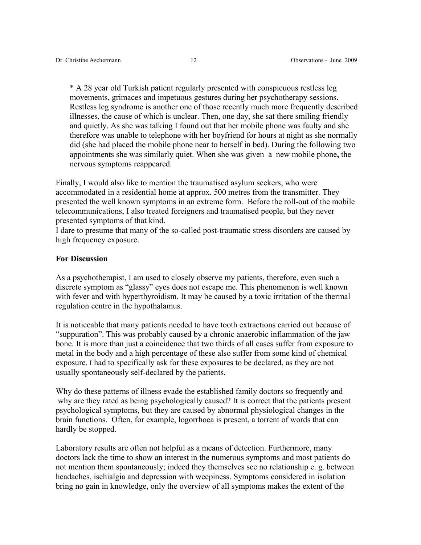\* A 28 year old Turkish patient regularly presented with conspicuous restless leg movements, grimaces and impetuous gestures during her psychotherapy sessions. Restless leg syndrome is another one of those recently much more frequently described illnesses, the cause of which is unclear. Then, one day, she sat there smiling friendly and quietly. As she was talking I found out that her mobile phone was faulty and she therefore was unable to telephone with her boyfriend for hours at night as she normally did (she had placed the mobile phone near to herself in bed). During the following two appointments she was similarly quiet. When she was given a new mobile phone**,** the nervous symptoms reappeared.

Finally, I would also like to mention the traumatised asylum seekers, who were accommodated in a residential home at approx. 500 metres from the transmitter. They presented the well known symptoms in an extreme form. Before the roll-out of the mobile telecommunications, I also treated foreigners and traumatised people, but they never presented symptoms of that kind.

I dare to presume that many of the so-called post-traumatic stress disorders are caused by high frequency exposure.

## **For Discussion**

As a psychotherapist, I am used to closely observe my patients, therefore, even such a discrete symptom as "glassy" eyes does not escape me. This phenomenon is well known with fever and with hyperthyroidism. It may be caused by a toxic irritation of the thermal regulation centre in the hypothalamus.

It is noticeable that many patients needed to have tooth extractions carried out because of "suppuration". This was probably caused by a chronic anaerobic inflammation of the jaw bone. It is more than just a coincidence that two thirds of all cases suffer from exposure to metal in the body and a high percentage of these also suffer from some kind of chemical exposure. I had to specifically ask for these exposures to be declared, as they are not usually spontaneously self-declared by the patients.

Why do these patterns of illness evade the established family doctors so frequently and why are they rated as being psychologically caused? It is correct that the patients present psychological symptoms, but they are caused by abnormal physiological changes in the brain functions. Often, for example, logorrhoea is present, a torrent of words that can hardly be stopped.

Laboratory results are often not helpful as a means of detection. Furthermore, many doctors lack the time to show an interest in the numerous symptoms and most patients do not mention them spontaneously; indeed they themselves see no relationship e. g. between headaches, ischialgia and depression with weepiness. Symptoms considered in isolation bring no gain in knowledge, only the overview of all symptoms makes the extent of the